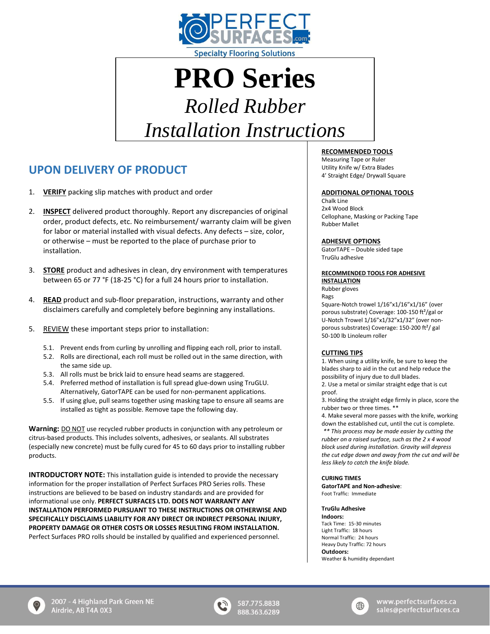

# **PRO Series** *Rolled Rubber*

*Installation Instructions*

# **UPON DELIVERY OF PRODUCT**

- 1. **VERIFY** packing slip matches with product and order
- 2. **INSPECT** delivered product thoroughly. Report any discrepancies of original order, product defects, etc. No reimbursement/ warranty claim will be given for labor or material installed with visual defects. Any defects – size, color, or otherwise – must be reported to the place of purchase prior to installation.
- 3. **STORE** product and adhesives in clean, dry environment with temperatures between 65 or 77 °F (18-25 °C) for a full 24 hours prior to installation.
- 4. **READ** product and sub-floor preparation, instructions, warranty and other disclaimers carefully and completely before beginning any installations.
- 5. REVIEW these important steps prior to installation:
	- 5.1. Prevent ends from curling by unrolling and flipping each roll, prior to install.
	- 5.2. Rolls are directional, each roll must be rolled out in the same direction, with the same side up.
	- 5.3. All rolls must be brick laid to ensure head seams are staggered.
	- 5.4. Preferred method of installation is full spread glue-down using TruGLU. Alternatively, GatorTAPE can be used for non-permanent applications.
	- 5.5. If using glue, pull seams together using masking tape to ensure all seams are installed as tight as possible. Remove tape the following day.

**Warning:** DO NOT use recycled rubber products in conjunction with any petroleum or citrus-based products. This includes solvents, adhesives, or sealants. All substrates (especially new concrete) must be fully cured for 45 to 60 days prior to installing rubber products.

**INTRODUCTORY NOTE:** This installation guide is intended to provide the necessary information for the proper installation of Perfect Surfaces PRO Series rolls. These instructions are believed to be based on industry standards and are provided for informational use only. **PERFECT SURFACES LTD. DOES NOT WARRANTY ANY INSTALLATION PERFORMED PURSUANT TO THESE INSTRUCTIONS OR OTHERWISE AND SPECIFICALLY DISCLAIMS LIABILITY FOR ANY DIRECT OR INDIRECT PERSONAL INJURY, PROPERTY DAMAGE OR OTHER COSTS OR LOSSES RESULTING FROM INSTALLATION.**  Perfect Surfaces PRO rolls should be installed by qualified and experienced personnel.

# **RECOMMENDED TOOLS**

Measuring Tape or Ruler Utility Knife w/ Extra Blades 4' Straight Edge/ Drywall Square

# **ADDITIONAL OPTIONAL TOOLS**

Chalk Line 2x4 Wood Block Cellophane, Masking or Packing Tape Rubber Mallet

# **ADHESIVE OPTIONS**

GatorTAPE – Double sided tape TruGlu adhesive

#### **RECOMMENDED TOOLS FOR ADHESIVE INSTALLATION**

Rubber gloves

#### Rags

Square-Notch trowel 1/16"x1/16"x1/16" (over porous substrate) Coverage: 100-150 ft²/gal or U-Notch Trowel 1/16"x1/32"x1/32" (over nonporous substrates) Coverage: 150-200 ft²/ gal 50-100 lb Linoleum roller

# **CUTTING TIPS**

1. When using a utility knife, be sure to keep the blades sharp to aid in the cut and help reduce the possibility of injury due to dull blades. 2. Use a metal or similar straight edge that is cut

proof.

3. Holding the straight edge firmly in place, score the rubber two or three times. \*\*

4. Make several more passes with the knife, working down the established cut, until the cut is complete. *\*\* This process may be made easier by cutting the rubber on a raised surface, such as the 2 x 4 wood block used during installation. Gravity will depress* 

*the cut edge down and away from the cut and will be less likely to catch the knife blade.* 

# **CURING TIMES**

**GatorTAPE and Non-adhesive**: Foot Traffic: Immediate

# **TruGlu Adhesive**

**Indoors:** Tack Time: 15-30 minutes Light Traffic: 18 hours Normal Traffic: 24 hours Heavy Duty Traffic: 72 hours **Outdoors:** Weather & humidity dependant



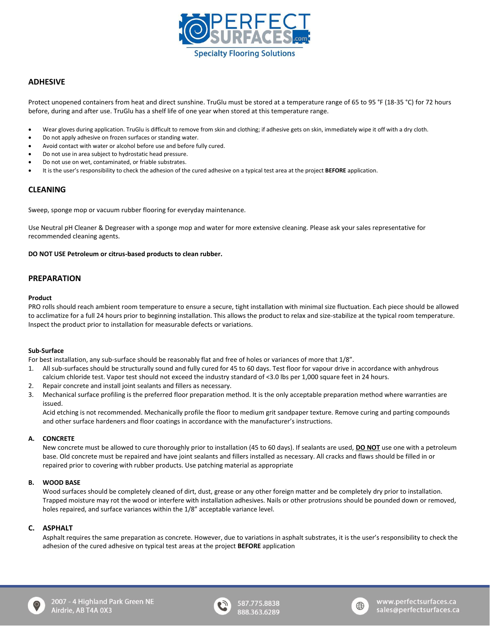

# **ADHESIVE**

Protect unopened containers from heat and direct sunshine. TruGlu must be stored at a temperature range of 65 to 95 °F (18-35 °C) for 72 hours before, during and after use. TruGlu has a shelf life of one year when stored at this temperature range.

- Wear gloves during application. TruGlu is difficult to remove from skin and clothing; if adhesive gets on skin, immediately wipe it off with a dry cloth.
- Do not apply adhesive on frozen surfaces or standing water.
- Avoid contact with water or alcohol before use and before fully cured.
- Do not use in area subject to hydrostatic head pressure.
- Do not use on wet, contaminated, or friable substrates.
- It is the user's responsibility to check the adhesion of the cured adhesive on a typical test area at the project **BEFORE** application.

# **CLEANING**

Sweep, sponge mop or vacuum rubber flooring for everyday maintenance.

Use Neutral pH Cleaner & Degreaser with a sponge mop and water for more extensive cleaning. Please ask your sales representative for recommended cleaning agents.

#### **DO NOT USE Petroleum or citrus-based products to clean rubber.**

# **PREPARATION**

#### **Product**

PRO rolls should reach ambient room temperature to ensure a secure, tight installation with minimal size fluctuation. Each piece should be allowed to acclimatize for a full 24 hours prior to beginning installation. This allows the product to relax and size-stabilize at the typical room temperature. Inspect the product prior to installation for measurable defects or variations.

#### **Sub-Surface**

For best installation, any sub-surface should be reasonably flat and free of holes or variances of more that 1/8".

- 1. All sub-surfaces should be structurally sound and fully cured for 45 to 60 days. Test floor for vapour drive in accordance with anhydrous calcium chloride test. Vapor test should not exceed the industry standard of <3.0 lbs per 1,000 square feet in 24 hours.
- 2. Repair concrete and install joint sealants and fillers as necessary.
- 3. Mechanical surface profiling is the preferred floor preparation method. It is the only acceptable preparation method where warranties are issued.

Acid etching is not recommended. Mechanically profile the floor to medium grit sandpaper texture. Remove curing and parting compounds and other surface hardeners and floor coatings in accordance with the manufacturer's instructions.

#### **A. CONCRETE**

New concrete must be allowed to cure thoroughly prior to installation (45 to 60 days). If sealants are used, **DO NOT** use one with a petroleum base. Old concrete must be repaired and have joint sealants and fillers installed as necessary. All cracks and flaws should be filled in or repaired prior to covering with rubber products. Use patching material as appropriate

#### **B. WOOD BASE**

Wood surfaces should be completely cleaned of dirt, dust, grease or any other foreign matter and be completely dry prior to installation. Trapped moisture may rot the wood or interfere with installation adhesives. Nails or other protrusions should be pounded down or removed, holes repaired, and surface variances within the 1/8" acceptable variance level.

#### **C. ASPHALT**

Asphalt requires the same preparation as concrete. However, due to variations in asphalt substrates, it is the user's responsibility to check the adhesion of the cured adhesive on typical test areas at the project **BEFORE** application







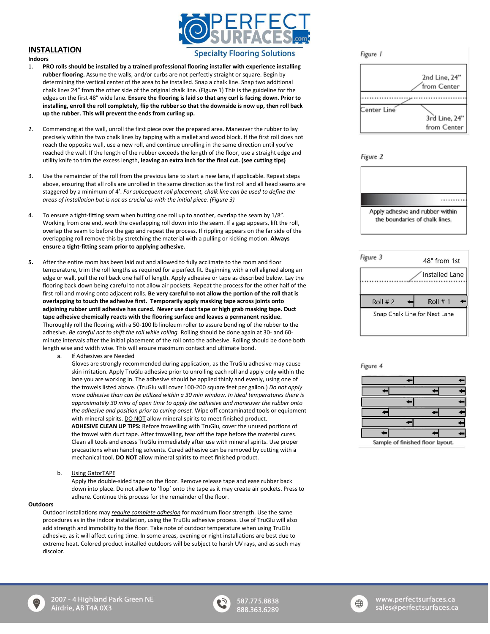

# **INSTALLATION**

**Indoors** 

# **Specialty Flooring Solutions**

- 1. **PRO rolls should be installed by a trained professional flooring installer with experience installing rubber flooring.** Assume the walls, and/or curbs are not perfectly straight or square. Begin by determining the vertical center of the area to be installed. Snap a chalk line. Snap two additional chalk lines 24" from the other side of the original chalk line. (Figure 1) This is the guideline for the edges on the first 48" wide lane. **Ensure the flooring is laid so that any curl is facing down. Prior to installing, enroll the roll completely, flip the rubber so that the downside is now up, then roll back up the rubber. This will prevent the ends from curling up.**
- 2. Commencing at the wall, unroll the first piece over the prepared area. Maneuver the rubber to lay precisely within the two chalk lines by tapping with a mallet and wood block. If the first roll does not reach the opposite wall, use a new roll, and continue unrolling in the same direction until you've reached the wall. If the length of the rubber exceeds the length of the floor, use a straight edge and utility knife to trim the excess length, **leaving an extra inch for the final cut. (see cutting tips)**
- 3. Use the remainder of the roll from the previous lane to start a new lane, if applicable. Repeat steps above, ensuring that all rolls are unrolled in the same direction as the first roll and all head seams are staggered by a minimum of 4'. *For subsequent roll placement, chalk line can be used to define the areas of installation but is not as crucial as with the initial piece. (Figure 3)*
- 4. To ensure a tight-fitting seam when butting one roll up to another, overlap the seam by 1/8". Working from one end, work the overlapping roll down into the seam. If a gap appears, lift the roll, overlap the seam to before the gap and repeat the process. If rippling appears on the far side of the overlapping roll remove this by stretching the material with a pulling or kicking motion. **Always ensure a tight-fitting seam prior to applying adhesive.**
- **5.** After the entire room has been laid out and allowed to fully acclimate to the room and floor temperature, trim the roll lengths as required for a perfect fit. Beginning with a roll aligned along an edge or wall, pull the roll back one half of length. Apply adhesive or tape as described below. Lay the flooring back down being careful to not allow air pockets. Repeat the process for the other half of the first roll and moving onto adjacent rolls. **Be very careful to not allow the portion of the roll that is overlapping to touch the adhesive first. Temporarily apply masking tape across joints onto adjoining rubber until adhesive has cured. Never use duct tape or high grab masking tape. Duct tape adhesive chemically reacts with the flooring surface and leaves a permanent residue.**  Thoroughly roll the flooring with a 50-100 lb linoleum roller to assure bonding of the rubber to the adhesive. *Be careful not to shift the roll while rolling.* Rolling should be done again at 30- and 60 minute intervals after the initial placement of the roll onto the adhesive. Rolling should be done both length wise and width wise. This will ensure maximum contact and ultimate bond.
	- a. If Adhesives are Needed

Gloves are strongly recommended during application, as the TruGlu adhesive may cause skin irritation. Apply TruGlu adhesive prior to unrolling each roll and apply only within the lane you are working in. The adhesive should be applied thinly and evenly, using one of the trowels listed above. (TruGlu will cover 100-200 square feet per gallon.) *Do not apply more adhesive than can be utilized within a 30 min window. In ideal temperatures there is approximately 30 mins of open time to apply the adhesive and maneuver the rubber onto the adhesive and position prior to curing onset.* Wipe off contaminated tools or equipment with mineral spirits. DO NOT allow mineral spirits to meet finished product. **ADHESIVE CLEAN UP TIPS:** Before trowelling with TruGlu, cover the unused portions of the trowel with duct tape. After trowelling, tear off the tape before the material cures. Clean all tools and excess TruGlu immediately after use with mineral spirits. Use proper precautions when handling solvents. Cured adhesive can be removed by cutting with a mechanical tool. **DO NOT** allow mineral spirits to meet finished product.

b. Using GatorTAPE

Apply the double-sided tape on the floor. Remove release tape and ease rubber back down into place. Do not allow to 'flop' onto the tape as it may create air pockets. Press to adhere. Continue this process for the remainder of the floor.

#### **Outdoors**

Outdoor installations may *require complete adhesion* for maximum floor strength. Use the same procedures as in the indoor installation, using the TruGlu adhesive process. Use of TruGlu will also add strength and immobility to the floor. Take note of outdoor temperature when using TruGlu adhesive, as it will affect curing time. In some areas, evening or night installations are best due to extreme heat. Colored product installed outdoors will be subject to harsh UV rays, and as such may discolor.

Figure 1



Figure 2





Figure 4



Sample of finished floor layout.





587.775.8838 888.363.6289